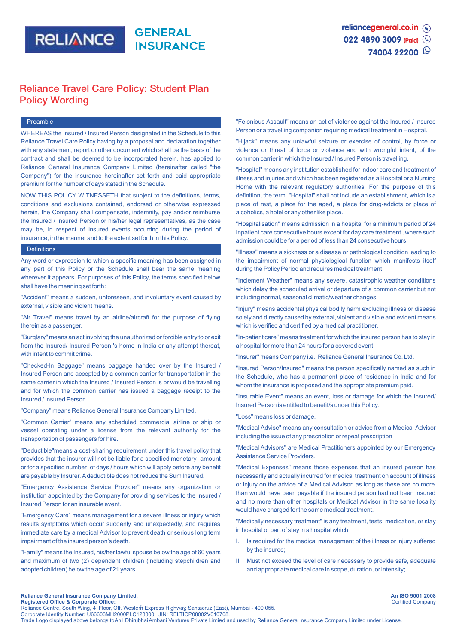

# Reliance Travel Care Policy: Student Plan Policy Wording

#### Preamble

WHEREAS the Insured / Insured Person designated in the Schedule to this Reliance Travel Care Policy having by a proposal and declaration together with any statement, report or other document which shall be the basis of the contract and shall be deemed to be incorporated herein, has applied to Reliance General Insurance Company Limited (hereinafter called "the Company") for the insurance hereinafter set forth and paid appropriate premium for the number of days stated in the Schedule.

NOW THIS POLICY WITNESSETH that subject to the definitions, terms, conditions and exclusions contained, endorsed or otherwise expressed herein, the Company shall compensate, indemnify, pay and/or reimburse the Insured / Insured Person or his/her legal representatives, as the case may be, in respect of insured events occurring during the period of insurance, in the manner and to the extent set forth in this Policy.

#### **Definitions**

Any word or expression to which a specific meaning has been assigned in any part of this Policy or the Schedule shall bear the same meaning wherever it appears. For purposes of this Policy, the terms specified below shall have the meaning set forth:

"Accident" means a sudden, unforeseen, and involuntary event caused by external, visible and violent means.

"Air Travel" means travel by an airline/aircraft for the purpose of flying therein as a passenger.

"Burglary" means an act involving the unauthorized or forcible entry to or exit from the Insured/ Insured Person 's home in India or any attempt thereat, with intent to commit crime.

"Checked-ln Baggage" means baggage handed over by the Insured / Insured Person and accepted by a common carrier for transportation in the same carrier in which the Insured / Insured Person is or would be travelling and for which the common carrier has issued a baggage receipt to the Insured / Insured Person.

"Company" means Reliance General Insurance Company Limited.

"Common Carrier" means any scheduled commercial airline or ship or vessel operating under a license from the relevant authority for the transportation of passengers for hire.

"Deductible"means a cost-sharing requirement under this travel policy that provides that the insurer will not be liable for a specified monetary amount or for a specified number of days / hours which will apply before any benefit are payable by Insurer. Adeductible does not reduce the Sum Insured.

"Emergency Assistance Service Provider" means any organization or institution appointed by the Company for providing services to the Insured / Insured Person for an insurable event.

"Emergency Care" means management for a severe illness or injury which results symptoms which occur suddenly and unexpectedly, and requires immediate care by a medical Advisor to prevent death or serious long term impairment of the insured person's death.

"Family" means the Insured, his/her lawful spouse below the age of 60 years and maximum of two (2) dependent children (including stepchildren and adopted children) below the age of 21 years.

"Felonious Assault" means an act of violence against the Insured / Insured Person or a travelling companion requiring medical treatment in Hospital.

"Hijack" means any unlawful seizure or exercise of control, by force or violence or threat of force or violence and with wrongful intent, of the common carrier in which the Insured / Insured Person is travelling.

"Hospital" means any institution established for indoor care and treatment of illness and injuries and which has been registered as a Hospital or a Nursing Home with the relevant regulatory authorities. For the purpose of this definition, the term "Hospital" shall not include an establishment, which is a place of rest, a place for the aged, a place for drug-addicts or place of alcoholics, a hotel or any other like place.

"Hospitalisation" means admission in a hospital for a minimum period of 24 Inpatient care consecutive hours except for day care treatment , where such admission could be for a period of less than 24 consecutive hours

"Illness" means a sickness or a disease or pathological condition leading to the impairment of normal physiological function which manifests itself during the Policy Period and requires medical treatment.

"Inclement Weather" means any severe, catastrophic weather conditions which delay the scheduled arrival or departure of a common carrier but not including normal, seasonal climatic/weather changes.

"Injury" means accidental physical bodily harm excluding illness or disease solely and directly caused by external, violent and visible and evident means which is verified and certified by a medical practitioner.

"In-patient care" means treatment for which the insured person has to stay in a hospital for more than 24 hours for a covered event.

"Insurer" means Company i.e., Reliance General Insurance Co. Ltd.

"Insured Person/Insured" means the person specifically named as such in the Schedule, who has a permanent place of residence in India and for whom the insurance is proposed and the appropriate premium paid.

"Insurable Event" means an event, loss or damage for which the Insured/ Insured Person is entitled to benefit/s under this Policy.

"Loss" means loss or damage.

"Medical Advise" means any consultation or advice from a Medical Advisor including the issue of any prescription or repeat prescription

"Medical Advisors" are Medical Practitioners appointed by our Emergency Assistance Service Providers.

"Medical Expenses" means those expenses that an insured person has necessarily and actually incurred for medical treatment on account of illness or injury on the advice of a Medical Advisor, as long as these are no more than would have been payable if the insured person had not been insured and no more than other hospitals or Medical Advisor in the same locality would have charged for the same medical treatment.

"Medically necessary treatment" is any treatment, tests, medication, or stay in hospital or part of stay in a hospital which

- I. Is required for the medical management of the illness or injury suffered by the insured;
- II. Must not exceed the level of care necessary to provide safe, adequate and appropriate medical care in scope, duration, or intensity;

**An ISO 9001:2008** Certified Company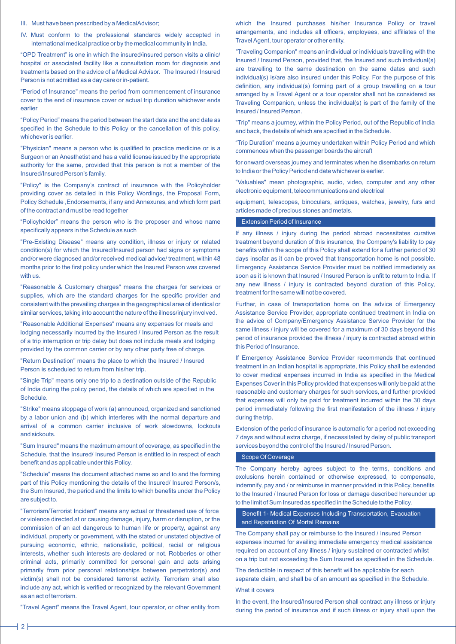- III. Must have been prescribed by a MedicalAdvisor;
- IV. Must conform to the professional standards widely accepted in international medical practice or by the medical community in India.

"OPD Treatment" is one in which the insured/insured person visits a clinic/ hospital or associated facility like a consultation room for diagnosis and treatments based on the advice of a Medical Advisor. The Insured / Insured Person is not admitted as a day care or in-patient.

"Period of Insurance" means the period from commencement of insurance cover to the end of insurance cover or actual trip duration whichever ends earlier

"Policy Period" means the period between the start date and the end date as specified in the Schedule to this Policy or the cancellation of this policy, whichever is earlier.

"Physician" means a person who is qualified to practice medicine or is a Surgeon or an Anesthetist and has a valid license issued by the appropriate authority for the same, provided that this person is not a member of the Insured/Insured Person's family.

"Policy" is the Company's contract of insurance with the Policyholder providing cover as detailed in this Policy Wordings, the Proposal Form, Policy Schedule ,Endorsements, if any and Annexures, and which form part of the contract and must be read together

"Policyholder" means the person who is the proposer and whose name specifically appears in the Schedule as such

"Pre-Existing Disease" means any condition, illness or injury or related condition(s) for which the Insured/Insured person had signs or symptoms and/or were diagnosed and/or received medical advice/ treatment, within 48 months prior to the first policy under which the Insured Person was covered with us.

"Reasonable & Customary charges" means the charges for services or supplies, which are the standard charges for the specific provider and consistent with the prevailing charges in the geographical area of identical or similar services, taking into account the nature of the illness/injury involved.

"Reasonable Additional Expenses" means any expenses for meals and lodging necessarily incurred by the Insured / Insured Person as the result of a trip interruption or trip delay but does not include meals and lodging provided by the common carrier or by any other party free of charge.

"Return Destination" means the place to which the Insured / Insured Person is scheduled to return from his/her trip.

"Single Trip" means only one trip to a destination outside of the Republic of India during the policy period, the details of which are specified in the **Schedule** 

"Strike" means stoppage of work (a) announced, organized and sanctioned by a labor union and (b) which interferes with the normal departure and arrival of a common carrier inclusive of work slowdowns, lockouts and sickouts.

"Sum Insured" means the maximum amount of coverage, as specified in the Schedule, that the Insured/ Insured Person is entitled to in respect of each benefit and as applicable under this Policy.

"Schedule" means the document attached name so and to and the forming part of this Policy mentioning the details of the Insured/ Insured Person/s, the Sum Insured, the period and the limits to which benefits under the Policy are subject to.

"Terrorism/Terrorist Incident" means any actual or threatened use of force or violence directed at or causing damage, injury, harm or disruption, or the commission of an act dangerous to human life or property, against any individual, property or government, with the stated or unstated objective of pursuing economic, ethnic, nationalistic, political, racial or religious interests, whether such interests are declared or not. Robberies or other criminal acts, primarily committed for personal gain and acts arising primarily from prior personal relationships between perpetrator(s) and victim(s) shall not be considered terrorist activity. Terrorism shall also include any act, which is verified or recognized by the relevant Government as an act of terrorism.

"Travel Agent" means the Travel Agent, tour operator, or other entity from

which the Insured purchases his/her Insurance Policy or travel arrangements, and includes all officers, employees, and affiliates of the Travel Agent, tour operator or other entity.

"Traveling Companion" means an individual or individuals travelling with the Insured / Insured Person, provided that, the Insured and such individual(s) are travelling to the same destination on the same dates and such individual(s) is/are also insured under this Policy. For the purpose of this definition, any individual(s) forming part of a group travelling on a tour arranged by a Travel Agent or a tour operator shall not be considered as Traveling Companion, unless the individual(s) is part of the family of the Insured / Insured Person.

"Trip" means a journey, within the Policy Period, out of the Republic of India and back, the details of which are specified in the Schedule.

"Trip Duration" means a journey undertaken within Policy Period and which commences when the passenger boards the aircraft

for onward overseas journey and terminates when he disembarks on return to India or the Policy Period end date whichever is earlier.

"Valuables" mean photographic, audio, video, computer and any other electronic equipment, telecommunications and electrical

equipment, telescopes, binoculars, antiques, watches, jewelry, furs and articles made of precious stones and metals.

### Extension Period of Insurance

If any illness / injury during the period abroad necessitates curative treatment beyond duration of this insurance, the Company's liability to pay benefits within the scope of this Policy shall extend for a further period of 30 days insofar as it can be proved that transportation home is not possible. Emergency Assistance Service Provider must be notified immediately as soon as it is known that Insured / Insured Person is unfit to return to India. If any new illness / injury is contracted beyond duration of this Policy, treatment for the same will not be covered.

Further, in case of transportation home on the advice of Emergency Assistance Service Provider, appropriate continued treatment in India on the advice of Company/Emergency Assistance Service Provider for the same illness / injury will be covered for a maximum of 30 days beyond this period of insurance provided the illness / injury is contracted abroad within this Period of Insurance.

If Emergency Assistance Service Provider recommends that continued treatment in an Indian hospital is appropriate, this Policy shall be extended to cover medical expenses incurred in India as specified in the Medical Expenses Cover in this Policy provided that expenses will only be paid at the reasonable and customary charges for such services, and further provided that expenses will only be paid for treatment incurred within the 30 days period immediately following the first manifestation of the illness / injury during the trip.

Extension of the period of insurance is automatic for a period not exceeding 7 days and without extra charge, if necessitated by delay of public transport services beyond the control of the Insured / Insured Person.

### Scope Of Coverage

The Company hereby agrees subject to the terms, conditions and exclusions herein contained or otherwise expressed, to compensate, indemnify, pay and / or reimburse in manner provided in this Policy, benefits to the Insured / Insured Person for loss or damage described hereunder up to the limit of Sum Insured as specified in the Schedule to the Policy.

 Benefit 1- Medical Expenses Including Transportation, Evacuation and Repatriation Of Mortal Remains

The Company shall pay or reimburse to the Insured / Insured Person expenses incurred for availing immediate emergency medical assistance required on account of any illness / injury sustained or contracted whilst on a trip but not exceeding the Sum Insured as specified in the Schedule.

The deductible in respect of this benefit will be applicable for each separate claim, and shall be of an amount as specified in the Schedule. What it covers

In the event, the Insured/Insured Person shall contract any illness or injury during the period of insurance and if such illness or injury shall upon the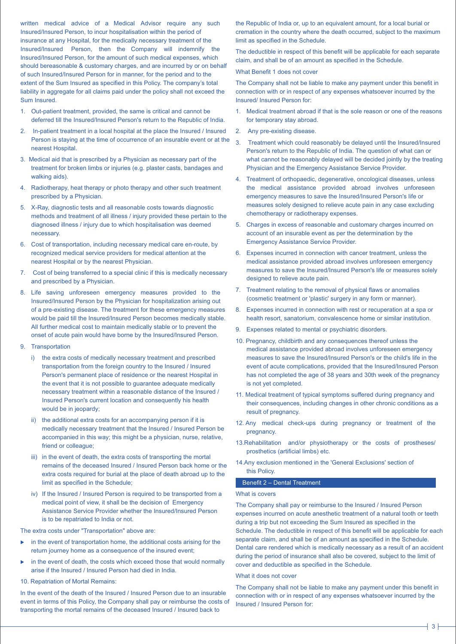written medical advice of a Medical Advisor require any such Insured/Insured Person, to incur hospitalisation within the period of insurance at any Hospital, for the medically necessary treatment of the Insured/Insured Person, then the Company will indemnify the Insured/Insured Person, for the amount of such medical expenses, which should bereasonable & customary charges, and are incurred by or on behalf of such Insured/Insured Person for in manner, for the period and to the extent of the Sum Insured as specified in this Policy. The company's total liability in aggregate for all claims paid under the policy shall not exceed the Sum Insured.

- 1. Out-patient treatment, provided, the same is critical and cannot be deferred till the Insured/Insured Person's return to the Republic of India.
- 2. In-patient treatment in a local hospital at the place the Insured / Insured Person is staying at the time of occurrence of an insurable event or at the nearest Hospital.
- 3. Medical aid that is prescribed by a Physician as necessary part of the treatment for broken limbs or injuries (e.g. plaster casts, bandages and walking aids).
- 4. Radiotherapy, heat therapy or photo therapy and other such treatment prescribed by a Physician.
- 5. X-Ray, diagnostic tests and all reasonable costs towards diagnostic methods and treatment of all illness / injury provided these pertain to the diagnosed illness / injury due to which hospitalisation was deemed necessary.
- 6. Cost of transportation, including necessary medical care en-route, by recognized medical service providers for medical attention at the nearest Hospital or by the nearest Physician.
- 7. Cost of being transferred to a special clinic if this is medically necessary and prescribed by a Physician.
- 8. Life saving unforeseen emergency measures provided to the Insured/Insured Person by the Physician for hospitalization arising out of a pre-existing disease. The treatment for these emergency measures would be paid till the Insured/Insured Person becomes medically stable. All further medical cost to maintain medically stable or to prevent the onset of acute pain would have borne by the Insured/Insured Person.
- 9. Transportation
	- i) the extra costs of medically necessary treatment and prescribed transportation from the foreign country to the Insured / Insured Person's permanent place of residence or the nearest Hospital in the event that it is not possible to guarantee adequate medically necessary treatment within a reasonable distance of the Insured / Insured Person's current location and consequently his health would be in jeopardy;
	- ii) the additional extra costs for an accompanying person if it is medically necessary treatment that the Insured / Insured Person be accompanied in this way; this might be a physician, nurse, relative, friend or colleague;
	- iii) in the event of death, the extra costs of transporting the mortal remains of the deceased Insured / Insured Person back home or the extra costs required for burial at the place of death abroad up to the limit as specified in the Schedule;
	- iv) If the Insured / Insured Person is required to be transported from a medical point of view, it shall be the decision of Emergency Assistance Service Provider whether the Insured/Insured Person is to be repatriated to India or not.

The extra costs under "Transportation" above are:

- $\triangleright$  in the event of transportation home, the additional costs arising for the return journey home as a consequence of the insured event;
- in the event of death, the costs which exceed those that would normally arise if the Insured / Insured Person had died in India.
- 10. Repatriation of Mortal Remains:

In the event of the death of the Insured / Insured Person due to an insurable event in terms of this Policy, the Company shall pay or reimburse the costs of transporting the mortal remains of the deceased Insured / Insured back to

the Republic of India or, up to an equivalent amount, for a local burial or cremation in the country where the death occurred, subject to the maximum limit as specified in the Schedule.

The deductible in respect of this benefit will be applicable for each separate claim, and shall be of an amount as specified in the Schedule.

### What Benefit 1 does not cover

The Company shall not be liable to make any payment under this benefit in connection with or in respect of any expenses whatsoever incurred by the Insured/ Insured Person for:

- 1. Medical treatment abroad if that is the sole reason or one of the reasons for temporary stay abroad.
- 2. Any pre-existing disease.
- 3. Treatment which could reasonably be delayed until the Insured/Insured Person's return to the Republic of India. The question of what can or what cannot be reasonably delayed will be decided jointly by the treating Physician and the Emergency Assistance Service Provider.
- 4. Treatment of orthopaedic, degenerative, oncological diseases, unless the medical assistance provided abroad involves unforeseen emergency measures to save the Insured/Insured Person's life or measures solely designed to relieve acute pain in any case excluding chemotherapy or radiotherapy expenses.
- 5. Charges in excess of reasonable and customary charges incurred on account of an insurable event as per the determination by the Emergency Assistance Service Provider.
- 6. Expenses incurred in connection with cancer treatment, unless the medical assistance provided abroad involves unforeseen emergency measures to save the Insured/Insured Person's life or measures solely designed to relieve acute pain.
- 7. Treatment relating to the removal of physical flaws or anomalies (cosmetic treatment or 'plastic' surgery in any form or manner).
- 8. Expenses incurred in connection with rest or recuperation at a spa or health resort, sanatorium, convalescence home or similar institution.
- 9. Expenses related to mental or psychiatric disorders.
- 10. Pregnancy, childbirth and any consequences thereof unless the medical assistance provided abroad involves unforeseen emergency measures to save the Insured/Insured Person's or the child's life in the event of acute complications, provided that the Insured/Insured Person has not completed the age of 38 years and 30th week of the pregnancy is not yet completed.
- 11. Medical treatment of typical symptoms suffered during pregnancy and their consequences, including changes in other chronic conditions as a result of pregnancy.
- 12. Any medical check-ups during pregnancy or treatment of the pregnancy.
- 13.Rehabilitation and/or physiotherapy or the costs of prostheses/ prosthetics (artificial limbs) etc.
- 14.Any exclusion mentioned in the 'General Exclusions' section of this Policy.

#### Benefit 2 – Dental Treatment

#### What is covers

The Company shall pay or reimburse to the Insured / Insured Person expenses incurred on acute anesthetic treatment of a natural tooth or teeth during a trip but not exceeding the Sum Insured as specified in the Schedule. The deductible in respect of this benefit will be applicable for each separate claim, and shall be of an amount as specified in the Schedule. Dental care rendered which is medically necessary as a result of an accident during the period of insurance shall also be covered, subject to the limit of cover and deductible as specified in the Schedule.

### What it does not cover

The Company shall not be liable to make any payment under this benefit in connection with or in respect of any expenses whatsoever incurred by the Insured / Insured Person for: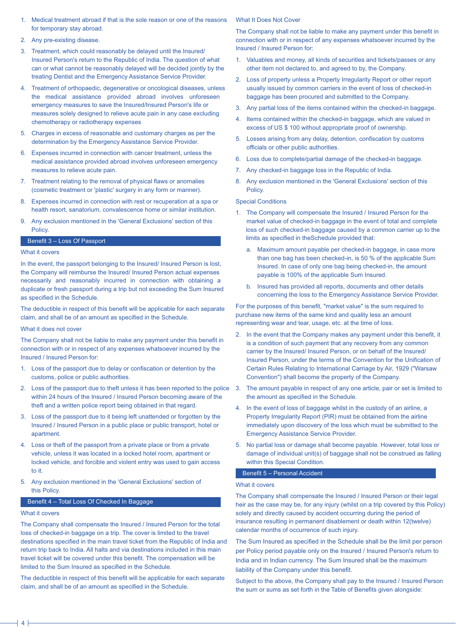- 1. Medical treatment abroad if that is the sole reason or one of the reasons for temporary stay abroad.
- 2. Any pre-existing disease.
- 3. Treatment, which could reasonably be delayed until the Insured/ Insured Person's return to the Republic of India. The question of what can or what cannot be reasonably delayed will be decided jointly by the treating Dentist and the Emergency Assistance Service Provider.
- 4. Treatment of orthopaedic, degenerative or oncological diseases, unless the medical assistance provided abroad involves unforeseen emergency measures to save the Insured/Insured Person's life or measures solely designed to relieve acute pain in any case excluding chemotherapy or radiotherapy expenses
- 5. Charges in excess of reasonable and customary charges as per the determination by the Emergency Assistance Service Provider.
- 6. Expenses incurred in connection with cancer treatment, unless the medical assistance provided abroad involves unforeseen emergency measures to relieve acute pain.
- 7. Treatment relating to the removal of physical flaws or anomalies (cosmetic treatment or 'plastic' surgery in any form or manner).
- 8. Expenses incurred in connection with rest or recuperation at a spa or health resort, sanatorium, convalescence home or similar institution.
- 9. Any exclusion mentioned in the 'General Exclusions' section of this **Policy**

### Benefit 3 – Loss Of Passport

### What it covers

In the event, the passport belonging to the Insured/ Insured Person is lost, the Company will reimburse the Insured/ Insured Person actual expenses necessarily and reasonably incurred in connection with obtaining a duplicate or fresh passport during a trip but not exceeding the Sum Insured as specified in the Schedule.

The deductible in respect of this benefit will be applicable for each separate claim, and shall be of an amount as specified in the Schedule.

# What it does not cover

The Company shall not be liable to make any payment under this benefit in connection with or in respect of any expenses whatsoever incurred by the Insured / Insured Person for:

- 1. Loss of the passport due to delay or confiscation or detention by the customs, police or public authorities.
- 2. Loss of the passport due to theft unless it has been reported to the police within 24 hours of the Insured / Insured Person becoming aware of the theft and a written police report being obtained in that regard.
- 3. Loss of the passport due to it being left unattended or forgotten by the Insured / Insured Person in a public place or public transport, hotel or apartment.
- 4. Loss or theft of the passport from a private place or from a private vehicle, unless it was located in a locked hotel room, apartment or locked vehicle, and forcible and violent entry was used to gain access to it.
- 5. Any exclusion mentioned in the 'General Exclusions' section of this Policy.

### Benefit 4 – Total Loss Of Checked In Baggage

#### What it covers

The Company shall compensate the Insured / Insured Person for the total loss of checked-in baggage on a trip. The cover is limited to the travel destinations specified in the main travel ticket from the Republic of India and return trip back to India. All halts and via destinations included in this main travel ticket will be covered under this benefit. The compensation will be limited to the Sum Insured as specified in the Schedule.

The deductible in respect of this benefit will be applicable for each separate claim, and shall be of an amount as specified in the Schedule.

## What It Does Not Cover

The Company shall not be liable to make any payment under this benefit in connection with or in respect of any expenses whatsoever incurred by the Insured / Insured Person for:

- Valuables and money, all kinds of securities and tickets/passes or any other item not declared to, and agreed to by, the Company.
- 2. Loss of property unless a Property Irregularity Report or other report usually issued by common carriers in the event of loss of checked-in baggage has been procured and submitted to the Company.
- 3. Any partial loss of the items contained within the checked-in baggage.
- 4. Items contained within the checked-in baggage, which are valued in excess of US \$ 100 without appropriate proof of ownership.
- 5. Losses arising from any delay, detention, confiscation by customs officials or other public authorities.
- 6. Loss due to complete/partial damage of the checked-in baggage.
- 7. Any checked-in baggage loss in the Republic of India.
- 8. Any exclusion mentioned in the 'General Exclusions' section of this Policy.

# Special Conditions

- 1. The Company will compensate the Insured / Insured Person for the market value of checked-in baggage in the event of total and complete loss of such checked-in baggage caused by a common carrier up to the limits as specified in theSchedule provided that:
	- a. Maximum amount payable per checked-in baggage, in case more than one bag has been checked-in, is 50 % of the applicable Sum Insured. In case of only one bag being checked-in, the amount payable is 100% of the applicable Sum Insured.
	- b. Insured has provided all reports, documents and other details concerning the loss to the Emergency Assistance Service Provider.

For the purposes of this benefit, "market value" is the sum required to purchase new items of the same kind and quality less an amount representing wear and tear, usage, etc. at the time of loss.

- 2. In the event that the Company makes any payment under this benefit, it is a condition of such payment that any recovery from any common carrier by the Insured/ Insured Person, or on behalf of the Insured/ Insured Person, under the terms of the Convention for the Unification of Certain Rules Relating to International Carriage by Air, 1929 ("Warsaw Convention") shall become the property of the Company.
- 3. The amount payable in respect of any one article, pair or set is limited to the amount as specified in the Schedule.
- 4. In the event of loss of baggage whilst in the custody of an airline, a Property Irregularity Report (PIR) must be obtained from the airline immediately upon discovery of the loss which must be submitted to the Emergency Assistance Service Provider.
- 5. No partial loss or damage shall become payable. However, total loss or damage of individual unit(s) of baggage shall not be construed as falling within this Special Condition.

# Benefit 5 – Personal Accident

### What it covers

The Company shall compensate the Insured / Insured Person or their legal heir as the case may be, for any injury (whilst on a trip covered by this Policy) solely and directly caused by accident occurring during the period of insurance resulting in permanent disablement or death within 12(twelve) calendar months of occurrence of such injury.

The Sum Insured as specified in the Schedule shall be the limit per person per Policy period payable only on the Insured / Insured Person's return to India and in Indian currency. The Sum Insured shall be the maximum liability of the Company under this benefit.

Subject to the above, the Company shall pay to the Insured / Insured Person the sum or sums as set forth in the Table of Benefits given alongside: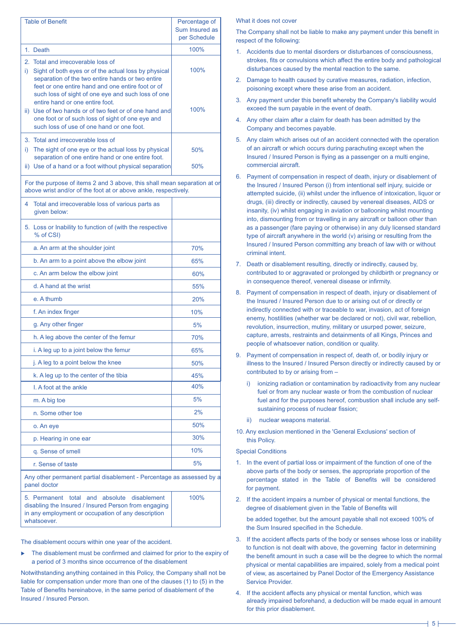| <b>Table of Benefit</b>                                                                                                                                                                                                                                          | Percentage of<br>Sum Insured as<br>per Schedule |  |  |  |
|------------------------------------------------------------------------------------------------------------------------------------------------------------------------------------------------------------------------------------------------------------------|-------------------------------------------------|--|--|--|
| 1. Death                                                                                                                                                                                                                                                         | 100%                                            |  |  |  |
| 2. Total and irrecoverable loss of<br>Sight of both eyes or of the actual loss by physical<br>i).<br>separation of the two entire hands or two entire<br>feet or one entire hand and one entire foot or of<br>such loss of sight of one eye and such loss of one | 100%                                            |  |  |  |
| entire hand or one entire foot.<br>ii) Use of two hands or of two feet or of one hand and<br>one foot or of such loss of sight of one eye and<br>such loss of use of one hand or one foot.                                                                       | 100%                                            |  |  |  |
| 3. Total and irrecoverable loss of<br>The sight of one eye or the actual loss by physical<br>i).<br>separation of one entire hand or one entire foot.                                                                                                            | 50%                                             |  |  |  |
| ii) Use of a hand or a foot without physical separation                                                                                                                                                                                                          | 50%                                             |  |  |  |
| For the purpose of items 2 and 3 above, this shall mean separation at or<br>above wrist and/or of the foot at or above ankle, respectively.                                                                                                                      |                                                 |  |  |  |
| Total and irrecoverable loss of various parts as<br>4<br>given below:                                                                                                                                                                                            |                                                 |  |  |  |
| 5. Loss or Inability to function of (with the respective<br>% of CSI)                                                                                                                                                                                            |                                                 |  |  |  |
| a. An arm at the shoulder joint                                                                                                                                                                                                                                  | 70%                                             |  |  |  |
| b. An arm to a point above the elbow joint                                                                                                                                                                                                                       | 65%                                             |  |  |  |
| c. An arm below the elbow joint                                                                                                                                                                                                                                  | 60%                                             |  |  |  |
| d. A hand at the wrist                                                                                                                                                                                                                                           | 55%                                             |  |  |  |
| e. A thumb                                                                                                                                                                                                                                                       | 20%                                             |  |  |  |
| f. An index finger                                                                                                                                                                                                                                               | 10%                                             |  |  |  |
| g. Any other finger                                                                                                                                                                                                                                              | 5%                                              |  |  |  |
| h. A leg above the center of the femur                                                                                                                                                                                                                           | 70%                                             |  |  |  |
| i. A leg up to a joint below the femur                                                                                                                                                                                                                           | 65%                                             |  |  |  |
| j. A leg to a point below the knee                                                                                                                                                                                                                               | 50%                                             |  |  |  |
| k. A leg up to the center of the tibia                                                                                                                                                                                                                           | 45%                                             |  |  |  |
| I. A foot at the ankle                                                                                                                                                                                                                                           | 40%                                             |  |  |  |
| m. A big toe                                                                                                                                                                                                                                                     | 5%                                              |  |  |  |
| n. Some other toe                                                                                                                                                                                                                                                | 2%                                              |  |  |  |
| o. An eye                                                                                                                                                                                                                                                        | 50%                                             |  |  |  |
| p. Hearing in one ear                                                                                                                                                                                                                                            | 30%                                             |  |  |  |
| q. Sense of smell                                                                                                                                                                                                                                                | 10%                                             |  |  |  |
| r. Sense of taste                                                                                                                                                                                                                                                | 5%                                              |  |  |  |
| Any other permanent partial disablement - Percentage as assessed by a<br>panel doctor                                                                                                                                                                            |                                                 |  |  |  |
| and<br>absolute<br>disablement<br>5. Permanent total<br>disabling the Insured / Insured Person from engaging<br>in any employment or occupation of any description<br>whatsoever.                                                                                | 100%                                            |  |  |  |

The disablement occurs within one year of the accident.

 $\blacktriangleright$  The disablement must be confirmed and claimed for prior to the expiry of a period of 3 months since occurrence of the disablement

Notwithstanding anything contained in this Policy, the Company shall not be liable for compensation under more than one of the clauses (1) to (5) in the Table of Benefits hereinabove, in the same period of disablement of the Insured / Insured Person.

# What it does not cover

The Company shall not be liable to make any payment under this benefit in respect of the following:

- 1. Accidents due to mental disorders or disturbances of consciousness, strokes, fits or convulsions which affect the entire body and pathological disturbances caused by the mental reaction to the same.
- 2. Damage to health caused by curative measures, radiation, infection, poisoning except where these arise from an accident.
- 3. Any payment under this benefit whereby the Company's liability would exceed the sum payable in the event of death.
- 4. Any other claim after a claim for death has been admitted by the Company and becomes payable.
- 5. Any claim which arises out of an accident connected with the operation of an aircraft or which occurs during parachuting except when the Insured / Insured Person is flying as a passenger on a multi engine, commercial aircraft.
- 6. Payment of compensation in respect of death, injury or disablement of the Insured / Insured Person (i) from intentional self injury, suicide or attempted suicide, (ii) whilst under the influence of intoxication, liquor or drugs, (iii) directly or indirectly, caused by venereal diseases, AIDS or insanity, (iv) whilst engaging in aviation or ballooning whilst mounting into, dismounting from or travelling in any aircraft or balloon other than as a passenger (fare paying or otherwise) in any duly licensed standard type of aircraft anywhere in the world (v) arising or resulting from the Insured / Insured Person committing any breach of law with or without criminal intent.
- 7. Death or disablement resulting, directly or indirectly, caused by, contributed to or aggravated or prolonged by childbirth or pregnancy or in consequence thereof, venereal disease or infirmity.
- 8. Payment of compensation in respect of death, injury or disablement of the Insured / Insured Person due to or arising out of or directly or indirectly connected with or traceable to war, invasion, act of foreign enemy, hostilities (whether war be declared or not), civil war, rebellion, revolution, insurrection, mutiny, military or usurped power, seizure, capture, arrests, restraints and detainments of all Kings, Princes and people of whatsoever nation, condition or quality.
- 9. Payment of compensation in respect of, death of, or bodily injury or illness to the Insured / Insured Person directly or indirectly caused by or contributed to by or arising from –
	- i) ionizing radiation or contamination by radioactivity from any nuclear fuel or from any nuclear waste or from the combustion of nuclear fuel and for the purposes hereof, combustion shall include any selfsustaining process of nuclear fission;
	- ii) nuclear weapons material.
- 10. Any exclusion mentioned in the 'General Exclusions' section of this Policy.

# Special Conditions

- 1. In the event of partial loss or impairment of the function of one of the above parts of the body or senses, the appropriate proportion of the percentage stated in the Table of Benefits will be considered for payment.
- 2. If the accident impairs a number of physical or mental functions, the degree of disablement given in the Table of Benefits will

be added together, but the amount payable shall not exceed 100% of the Sum Insured specified in the Schedule.

- 3. If the accident affects parts of the body or senses whose loss or inability to function is not dealt with above, the governing factor in determining the benefit amount in such a case will be the degree to which the normal physical or mental capabilities are impaired, solely from a medical point of view, as ascertained by Panel Doctor of the Emergency Assistance Service Provider.
- 4. If the accident affects any physical or mental function, which was already impaired beforehand, a deduction will be made equal in amount for this prior disablement.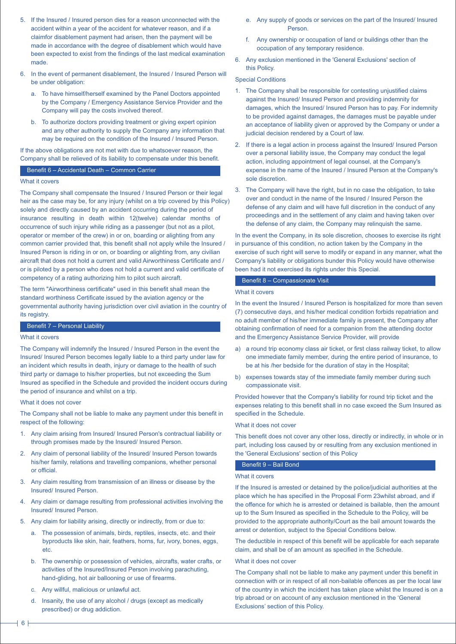- 5. If the Insured / Insured person dies for a reason unconnected with the accident within a year of the accident for whatever reason, and if a claimfor disablement payment had arisen, then the payment will be made in accordance with the degree of disablement which would have been expected to exist from the findings of the last medical examination made.
- 6. In the event of permanent disablement, the Insured / Insured Person will be under obligation:
	- a. To have himself/herself examined by the Panel Doctors appointed by the Company / Emergency Assistance Service Provider and the Company will pay the costs involved thereof.
	- b. To authorize doctors providing treatment or giving expert opinion and any other authority to supply the Company any information that may be required on the condition of the Insured / Insured Person.

If the above obligations are not met with due to whatsoever reason, the Company shall be relieved of its liability to compensate under this benefit.

#### Benefit 6 – Accidental Death – Common Carrier

# What it covers

The Company shall compensate the Insured / Insured Person or their legal heir as the case may be, for any injury (whilst on a trip covered by this Policy) solely and directly caused by an accident occurring during the period of insurance resulting in death within 12(twelve) calendar months of occurrence of such injury while riding as a passenger (but not as a pilot, operator or member of the crew) in or on, boarding or alighting from any common carrier provided that, this benefit shall not apply while the Insured / Insured Person is riding in or on, or boarding or alighting from, any civilian aircraft that does not hold a current and valid Airworthiness Certificate and / or is piloted by a person who does not hold a current and valid certificate of competency of a rating authorizing him to pilot such aircraft.

The term "Airworthiness certificate" used in this benefit shall mean the standard worthiness Certificate issued by the aviation agency or the governmental authority having jurisdiction over civil aviation in the country of its registry.

# Benefit 7 – Personal Liability

### What it covers

The Company will indemnify the Insured / Insured Person in the event the Insured/ Insured Person becomes legally liable to a third party under law for an incident which results in death, injury or damage to the health of such third party or damage to his/her properties, but not exceeding the Sum Insured as specified in the Schedule and provided the incident occurs during the period of insurance and whilst on a trip.

# What it does not cover

The Company shall not be liable to make any payment under this benefit in respect of the following:

- 1. Any claim arising from Insured/ Insured Person's contractual liability or through promises made by the Insured/ Insured Person.
- 2. Any claim of personal liability of the Insured/ Insured Person towards his/her family, relations and travelling companions, whether personal or official.
- 3. Any claim resulting from transmission of an illness or disease by the Insured/ Insured Person.
- 4. Any claim or damage resulting from professional activities involving the Insured/ Insured Person.
- 5. Any claim for liability arising, directly or indirectly, from or due to:
	- a. The possession of animals, birds, reptiles, insects, etc. and their byproducts like skin, hair, feathers, horns, fur, ivory, bones, eggs, etc.
	- b. The ownership or possession of vehicles, aircrafts, water crafts, or activities of the Insured/Insured Person involving parachuting, hand-gliding, hot air ballooning or use of firearms.
	- c. Any willful, malicious or unlawful act.
	- d. Insanity, the use of any alcohol / drugs (except as medically prescribed) or drug addiction.
- e. Any supply of goods or services on the part of the Insured/ Insured Person.
- f. Any ownership or occupation of land or buildings other than the occupation of any temporary residence.
- 6. Any exclusion mentioned in the 'General Exclusions' section of this Policy.

#### Special Conditions

- 1. The Company shall be responsible for contesting unjustified claims against the Insured/ Insured Person and providing indemnity for damages, which the Insured/ Insured Person has to pay. For indemnity to be provided against damages, the damages must be payable under an acceptance of liability given or approved by the Company or under a judicial decision rendered by a Court of law.
- 2. If there is a legal action in process against the Insured/ Insured Person over a personal liability issue, the Company may conduct the legal action, including appointment of legal counsel, at the Company's expense in the name of the Insured / Insured Person at the Company's sole discretion.
- 3. The Company will have the right, but in no case the obligation, to take over and conduct in the name of the Insured / Insured Person the defense of any claim and will have full discretion in the conduct of any proceedings and in the settlement of any claim and having taken over the defense of any claim, the Company may relinquish the same.

In the event the Company, in its sole discretion, chooses to exercise its right in pursuance of this condition, no action taken by the Company in the exercise of such right will serve to modify or expand in any manner, what the Company's liability or obligations bunder this Policy would have otherwise been had it not exercised its rights under this Special.

#### Benefit 8 – Compassionate Visit

#### What it covers

In the event the Insured / Insured Person is hospitalized for more than seven (7) consecutive days, and his/her medical condition forbids repatriation and no adult member of his/her immediate family is present, the Company after obtaining confirmation of need for a companion from the attending doctor and the Emergency Assistance Service Provider, will provide

- a) a round trip economy class air ticket, or first class railway ticket, to allow one immediate family member, during the entire period of insurance, to be at his /her bedside for the duration of stay in the Hospital;
- b) expenses towards stay of the immediate family member during such compassionate visit.

Provided however that the Company's liability for round trip ticket and the expenses relating to this benefit shall in no case exceed the Sum Insured as specified in the Schedule.

#### What it does not cover

This benefit does not cover any other loss, directly or indirectly, in whole or in part, including loss caused by or resulting from any exclusion mentioned in the 'General Exclusions' section of this Policy

# Benefit 9 – Bail Bond

## What it covers

If the Insured is arrested or detained by the police/judicial authorities at the place which he has specified in the Proposal Form 23whilst abroad, and if the offence for which he is arrested or detained is bailable, then the amount up to the Sum Insured as specified in the Schedule to the Policy, will be provided to the appropriate authority/Court as the bail amount towards the arrest or detention, subject to the Special Conditions below.

The deductible in respect of this benefit will be applicable for each separate claim, and shall be of an amount as specified in the Schedule.

#### What it does not cover

The Company shall not be liable to make any payment under this benefit in connection with or in respect of all non-bailable offences as per the local law of the country in which the incident has taken place whilst the Insured is on a trip abroad or on account of any exclusion mentioned in the 'General Exclusions' section of this Policy.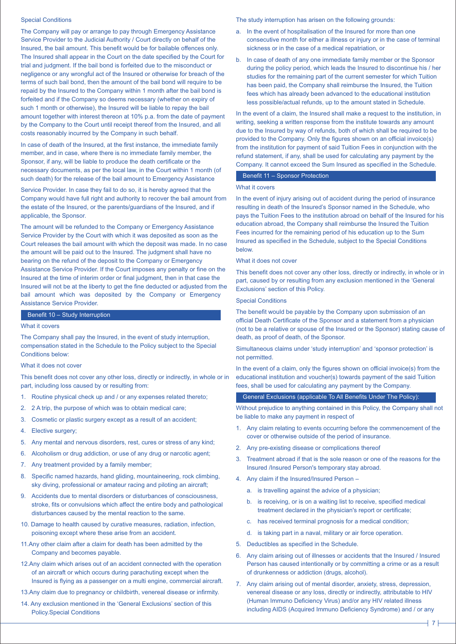#### Special Conditions

The Company will pay or arrange to pay through Emergency Assistance Service Provider to the Judicial Authority / Court directly on behalf of the Insured, the bail amount. This benefit would be for bailable offences only. The Insured shall appear in the Court on the date specified by the Court for trial and judgment. If the bail bond is forfeited due to the misconduct or negligence or any wrongful act of the Insured or otherwise for breach of the terms of such bail bond, then the amount of the bail bond will require to be repaid by the Insured to the Company within 1 month after the bail bond is forfeited and if the Company so deems necessary (whether on expiry of such 1 month or otherwise), the Insured will be liable to repay the bail amount together with interest thereon at 10% p.a. from the date of payment by the Company to the Court until receipt thereof from the Insured, and all costs reasonably incurred by the Company in such behalf.

In case of death of the Insured, at the first instance, the immediate family member, and in case, where there is no immediate family member, the Sponsor, if any, will be liable to produce the death certificate or the necessary documents, as per the local law, in the Court within 1 month (of such death) for the release of the bail amount to Emergency Assistance

Service Provider. In case they fail to do so, it is hereby agreed that the Company would have full right and authority to recover the bail amount from the estate of the Insured, or the parents/guardians of the Insured, and if applicable, the Sponsor.

The amount will be refunded to the Company or Emergency Assistance Service Provider by the Court with which it was deposited as soon as the Court releases the bail amount with which the deposit was made. In no case the amount will be paid out to the Insured. The judgment shall have no bearing on the refund of the deposit to the Company or Emergency Assistance Service Provider. If the Court imposes any penalty or fine on the Insured at the time of interim order or final judgment, then in that case the Insured will not be at the liberty to get the fine deducted or adjusted from the bail amount which was deposited by the Company or Emergency Assistance Service Provider.

#### Benefit 10 – Study Interruption

# What it covers

The Company shall pay the Insured, in the event of study interruption, compensation stated in the Schedule to the Policy subject to the Special Conditions below:

#### What it does not cover

This benefit does not cover any other loss, directly or indirectly, in whole or in part, including loss caused by or resulting from:

- 1. Routine physical check up and / or any expenses related thereto;
- 2. 2 A trip, the purpose of which was to obtain medical care;
- 3. Cosmetic or plastic surgery except as a result of an accident;
- 4. Elective surgery;
- 5. Any mental and nervous disorders, rest, cures or stress of any kind;
- 6. Alcoholism or drug addiction, or use of any drug or narcotic agent;
- 7. Any treatment provided by a family member;
- 8. Specific named hazards, hand gliding, mountaineering, rock climbing, sky diving, professional or amateur racing and piloting an aircraft;
- 9. Accidents due to mental disorders or disturbances of consciousness, stroke, fits or convulsions which affect the entire body and pathological disturbances caused by the mental reaction to the same.
- 10. Damage to health caused by curative measures, radiation, infection, poisoning except where these arise from an accident.
- 11.Any other claim after a claim for death has been admitted by the Company and becomes payable.
- 12.Any claim which arises out of an accident connected with the operation of an aircraft or which occurs during parachuting except when the Insured is flying as a passenger on a multi engine, commercial aircraft.
- 13.Any claim due to pregnancy or childbirth, venereal disease or infirmity.
- 14. Any exclusion mentioned in the 'General Exclusions' section of this Policy.Special Conditions

The study interruption has arisen on the following grounds:

- a. In the event of hospitalisation of the Insured for more than one consecutive month for either a illness or injury or in the case of terminal sickness or in the case of a medical repatriation, or
- b. In case of death of any one immediate family member or the Sponsor during the policy period, which leads the Insured to discontinue his / her studies for the remaining part of the current semester for which Tuition has been paid, the Company shall reimburse the Insured, the Tuition fees which has already been advanced to the educational institution less possible/actual refunds, up to the amount stated in Schedule.

In the event of a claim, the Insured shall make a request to the institution, in writing, seeking a written response from the institute towards any amount due to the Insured by way of refunds, both of which shall be required to be provided to the Company. Only the figures shown on an official invoice(s) from the institution for payment of said Tuition Fees in conjunction with the refund statement, if any, shall be used for calculating any payment by the Company. It cannot exceed the Sum Insured as specified in the Schedule.

### Benefit 11 – Sponsor Protection

# What it covers

In the event of injury arising out of accident during the period of insurance resulting in death of the Insured's Sponsor named in the Schedule, who pays the Tuition Fees to the institution abroad on behalf of the Insured for his education abroad, the Company shall reimburse the Insured the Tuition Fees incurred for the remaining period of his education up to the Sum Insured as specified in the Schedule, subject to the Special Conditions below.

### What it does not cover

This benefit does not cover any other loss, directly or indirectly, in whole or in part, caused by or resulting from any exclusion mentioned in the 'General Exclusions' section of this Policy.

# Special Conditions

The benefit would be payable by the Company upon submission of an official Death Certificate of the Sponsor and a statement from a physician (not to be a relative or spouse of the Insured or the Sponsor) stating cause of death, as proof of death, of the Sponsor.

Simultaneous claims under 'study interruption' and 'sponsor protection' is not permitted.

In the event of a claim, only the figures shown on official invoice(s) from the educational institution and voucher(s) towards payment of the said Tuition fees, shall be used for calculating any payment by the Company.

General Exclusions (applicable To All Benefits Under The Policy):

Without prejudice to anything contained in this Policy, the Company shall not be liable to make any payment in respect of

- 1. Any claim relating to events occurring before the commencement of the cover or otherwise outside of the period of insurance.
- 2. Any pre-existing disease or complications thereof
- 3. Treatment abroad if that is the sole reason or one of the reasons for the Insured /Insured Person's temporary stay abroad.
- 4. Any claim if the Insured/Insured Person
	- a. is travelling against the advice of a physician;
	- b. is receiving, or is on a waiting list to receive, specified medical treatment declared in the physician's report or certificate;
	- c. has received terminal prognosis for a medical condition;
	- d. is taking part in a naval, military or air force operation.
- 5. Deductibles as specified in the Schedule.
- 6. Any claim arising out of illnesses or accidents that the Insured / Insured Person has caused intentionally or by committing a crime or as a result of drunkenness or addiction (drugs, alcohol).
- 7. Any claim arising out of mental disorder, anxiety, stress, depression, venereal disease or any loss, directly or indirectly, attributable to HIV (Human Immuno Deficiency Virus) and/or any HIV related illness including AIDS (Acquired Immuno Deficiency Syndrome) and / or any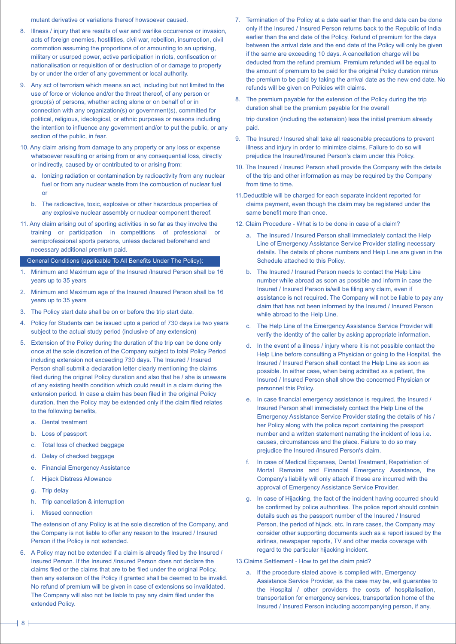mutant derivative or variations thereof howsoever caused.

- 8. Illness / injury that are results of war and warlike occurrence or invasion, acts of foreign enemies, hostilities, civil war, rebellion, insurrection, civil commotion assuming the proportions of or amounting to an uprising, military or usurped power, active participation in riots, confiscation or nationalisation or requisition of or destruction of or damage to property by or under the order of any government or local authority.
- 9. Any act of terrorism which means an act, including but not limited to the use of force or violence and/or the threat thereof, of any person or group(s) of persons, whether acting alone or on behalf of or in connection with any organization(s) or government(s), committed for political, religious, ideological, or ethnic purposes or reasons including the intention to influence any government and/or to put the public, or any section of the public, in fear.
- 10. Any claim arising from damage to any property or any loss or expense whatsoever resulting or arising from or any consequential loss, directly or indirectly, caused by or contributed to or arising from:
	- a. Ionizing radiation or contamination by radioactivity from any nuclear fuel or from any nuclear waste from the combustion of nuclear fuel or
	- b. The radioactive, toxic, explosive or other hazardous properties of any explosive nuclear assembly or nuclear component thereof.
- 11. Any claim arising out of sporting activities in so far as they involve the training or participation in competitions of professional or semiprofessional sports persons, unless declared beforehand and necessary additional premium paid.

General Conditions (applicable To All Benefits Under The Policy):

- 1. Minimum and Maximum age of the Insured /Insured Person shall be 16 years up to 35 years
- 2. Minimum and Maximum age of the Insured /Insured Person shall be 16 years up to 35 years
- 3. The Policy start date shall be on or before the trip start date.
- 4. Policy for Students can be issued upto a period of 730 days i.e two years subject to the actual study period (inclusive of any extension)
- 5. Extension of the Policy during the duration of the trip can be done only once at the sole discretion of the Company subject to total Policy Period including extension not exceeding 730 days. The Insured / Insured Person shall submit a declaration letter clearly mentioning the claims filed during the original Policy duration and also that he / she is unaware of any existing health condition which could result in a claim during the extension period. In case a claim has been filed in the original Policy duration, then the Policy may be extended only if the claim filed relates to the following benefits,
	- a. Dental treatment
	- b. Loss of passport
	- c. Total loss of checked baggage
	- d. Delay of checked baggage
	- e. Financial Emergency Assistance
	- f. Hijack Distress Allowance
	- g. Trip delay
	- h. Trip cancellation & interruption
	- i. Missed connection

The extension of any Policy is at the sole discretion of the Company, and the Company is not liable to offer any reason to the Insured / Insured Person if the Policy is not extended.

6. A Policy may not be extended if a claim is already filed by the Insured / Insured Person. If the Insured /Insured Person does not declare the claims filed or the claims that are to be filed under the original Policy, then any extension of the Policy if granted shall be deemed to be invalid. No refund of premium will be given in case of extensions so invalidated. The Company will also not be liable to pay any claim filed under the extended Policy.

- 7. Termination of the Policy at a date earlier than the end date can be done only if the Insured / Insured Person returns back to the Republic of India earlier than the end date of the Policy. Refund of premium for the days between the arrival date and the end date of the Policy will only be given if the same are exceeding 10 days. A cancellation charge will be deducted from the refund premium. Premium refunded will be equal to the amount of premium to be paid for the original Policy duration minus the premium to be paid by taking the arrival date as the new end date. No refunds will be given on Policies with claims.
- 8. The premium payable for the extension of the Policy during the trip duration shall be the premium payable for the overall trip duration (including the extension) less the initial premium already paid.
- 9. The Insured / Insured shall take all reasonable precautions to prevent illness and injury in order to minimize claims. Failure to do so will prejudice the Insured/Insured Person's claim under this Policy.
- 10. The Insured / Insured Person shall provide the Company with the details of the trip and other information as may be required by the Company from time to time.
- 11.Deductible will be charged for each separate incident reported for claims payment, even though the claim may be registered under the same benefit more than once.
- 12. Claim Procedure What is to be done in case of a claim?
	- a. The Insured / Insured Person shall immediately contact the Help Line of Emergency Assistance Service Provider stating necessary details. The details of phone numbers and Help Line are given in the Schedule attached to this Policy.
	- b. The Insured / Insured Person needs to contact the Help Line number while abroad as soon as possible and inform in case the Insured / Insured Person is/will be filing any claim, even if assistance is not required. The Company will not be liable to pay any claim that has not been informed by the Insured / Insured Person while abroad to the Help Line.
	- c. The Help Line of the Emergency Assistance Service Provider will verify the identity of the caller by asking appropriate information.
	- d. In the event of a illness / injury where it is not possible contact the Help Line before consulting a Physician or going to the Hospital, the Insured / Insured Person shall contact the Help Line as soon as possible. In either case, when being admitted as a patient, the Insured / Insured Person shall show the concerned Physician or personnel this Policy.
	- e. In case financial emergency assistance is required, the Insured / Insured Person shall immediately contact the Help Line of the Emergency Assistance Service Provider stating the details of his / her Policy along with the police report containing the passport number and a written statement narrating the incident of loss i.e. causes, circumstances and the place. Failure to do so may prejudice the Insured /Insured Person's claim.
	- f. In case of Medical Expenses, Dental Treatment, Repatriation of Mortal Remains and Financial Emergency Assistance, the Company's liability will only attach if these are incurred with the approval of Emergency Assistance Service Provider.
	- g. In case of Hijacking, the fact of the incident having occurred should be confirmed by police authorities. The police report should contain details such as the passport number of the Insured / Insured Person, the period of hijack, etc. In rare cases, the Company may consider other supporting documents such as a report issued by the airlines, newspaper reports, TV and other media coverage with regard to the particular hijacking incident.

13.Claims Settlement - How to get the claim paid?

a. If the procedure stated above is complied with, Emergency Assistance Service Provider, as the case may be, will guarantee to the Hospital / other providers the costs of hospitalisation, transportation for emergency services, transportation home of the Insured / Insured Person including accompanying person, if any,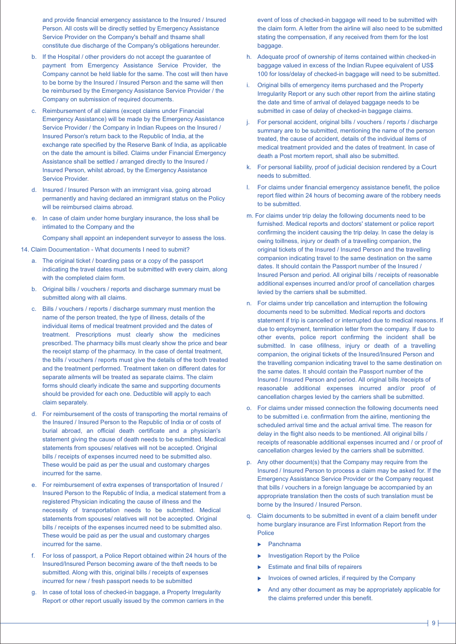and provide financial emergency assistance to the Insured / Insured Person. All costs will be directly settled by Emergency Assistance Service Provider on the Company's behalf and thsame shall constitute due discharge of the Company's obligations hereunder.

- b. If the Hospital / other providers do not accept the guarantee of payment from Emergency Assistance Service Provider, the Company cannot be held liable for the same. The cost will then have to be borne by the Insured / Insured Person and the same will then be reimbursed by the Emergency Assistance Service Provider / the Company on submission of required documents.
- c. Reimbursement of all claims (except claims under Financial Emergency Assistance) will be made by the Emergency Assistance Service Provider / the Company in Indian Rupees on the Insured / Insured Person's return back to the Republic of India, at the exchange rate specified by the Reserve Bank of India, as applicable on the date the amount is billed. Claims under Financial Emergency Assistance shall be settled / arranged directly to the Insured / Insured Person, whilst abroad, by the Emergency Assistance Service Provider.
- d. Insured / Insured Person with an immigrant visa, going abroad permanently and having declared an immigrant status on the Policy will be reimbursed claims abroad.
- e. In case of claim under home burglary insurance, the loss shall be intimated to the Company and the

Company shall appoint an independent surveyor to assess the loss.

- 14. Claim Documentation What documents I need to submit?
	- a. The original ticket / boarding pass or a copy of the passport indicating the travel dates must be submitted with every claim, along with the completed claim form.
	- b. Original bills / vouchers / reports and discharge summary must be submitted along with all claims.
	- c. Bills / vouchers / reports / discharge summary must mention the name of the person treated, the type of illness, details of the individual items of medical treatment provided and the dates of treatment. Prescriptions must clearly show the medicines prescribed. The pharmacy bills must clearly show the price and bear the receipt stamp of the pharmacy. In the case of dental treatment, the bills / vouchers / reports must give the details of the tooth treated and the treatment performed. Treatment taken on different dates for separate ailments will be treated as separate claims. The claim forms should clearly indicate the same and supporting documents should be provided for each one. Deductible will apply to each claim separately.
	- d. For reimbursement of the costs of transporting the mortal remains of the Insured / Insured Person to the Republic of India or of costs of burial abroad, an official death certificate and a physician's statement giving the cause of death needs to be submitted. Medical statements from spouses/ relatives will not be accepted. Original bills / receipts of expenses incurred need to be submitted also. These would be paid as per the usual and customary charges incurred for the same.
	- e. For reimbursement of extra expenses of transportation of Insured / Insured Person to the Republic of India, a medical statement from a registered Physician indicating the cause of illness and the necessity of transportation needs to be submitted. Medical statements from spouses/ relatives will not be accepted. Original bills / receipts of the expenses incurred need to be submitted also. These would be paid as per the usual and customary charges incurred for the same.
	- f. For loss of passport, a Police Report obtained within 24 hours of the Insured/Insured Person becoming aware of the theft needs to be submitted. Along with this, original bills / receipts of expenses incurred for new / fresh passport needs to be submitted
	- g. In case of total loss of checked-in baggage, a Property Irregularity Report or other report usually issued by the common carriers in the

event of loss of checked-in baggage will need to be submitted with the claim form. A letter from the airline will also need to be submitted stating the compensation, if any received from them for the lost baggage.

- h. Adequate proof of ownership of items contained within checked-in baggage valued in excess of the Indian Rupee equivalent of US\$ 100 for loss/delay of checked-in baggage will need to be submitted.
- Original bills of emergency items purchased and the Property Irregularity Report or any such other report from the airline stating the date and time of arrival of delayed baggage needs to be submitted in case of delay of checked-in baggage claims.
- j. For personal accident, original bills / vouchers / reports / discharge summary are to be submitted, mentioning the name of the person treated, the cause of accident, details of the individual items of medical treatment provided and the dates of treatment. In case of death a Post mortem report, shall also be submitted.
- k. For personal liability, proof of judicial decision rendered by a Court needs to submitted.
- l. For claims under financial emergency assistance benefit, the police report filed within 24 hours of becoming aware of the robbery needs to be submitted.
- m. For claims under trip delay the following documents need to be furnished. Medical reports and doctors' statement or police report confirming the incident causing the trip delay. In case the delay is owing toillness, injury or death of a travelling companion, the original tickets of the Insured / Insured Person and the travelling companion indicating travel to the same destination on the same dates. It should contain the Passport number of the Insured / Insured Person and period. All original bills / receipts of reasonable additional expenses incurred and/or proof of cancellation charges levied by the carriers shall be submitted.
- n. For claims under trip cancellation and interruption the following documents need to be submitted. Medical reports and doctors statement if trip is cancelled or interrupted due to medical reasons. If due to employment, termination letter from the company. If due to other events, police report confirming the incident shall be submitted. In case ofillness, injury or death of a travelling companion, the original tickets of the Insured/Insured Person and the travelling companion indicating travel to the same destination on the same dates. It should contain the Passport number of the Insured / Insured Person and period. All original bills /receipts of reasonable additional expenses incurred and/or proof of cancellation charges levied by the carriers shall be submitted.
- o. For claims under missed connection the following documents need to be submitted i.e. confirmation from the airline, mentioning the scheduled arrival time and the actual arrival time. The reason for delay in the flight also needs to be mentioned. All original bills / receipts of reasonable additional expenses incurred and / or proof of cancellation charges levied by the carriers shall be submitted.
- p. Any other document(s) that the Company may require from the Insured / Insured Person to process a claim may be asked for. If the Emergency Assistance Service Provider or the Company request that bills / vouchers in a foreign language be accompanied by an appropriate translation then the costs of such translation must be borne by the Insured / Insured Person.
- q. Claim documents to be submitted in event of a claim benefit under home burglary insurance are First Information Report from the Police
	- Panchnama
	- Investigation Report by the Police
	- Estimate and final bills of repairers
	- Invoices of owned articles, if required by the Company
	- And any other document as may be appropriately applicable for the claims preferred under this benefit.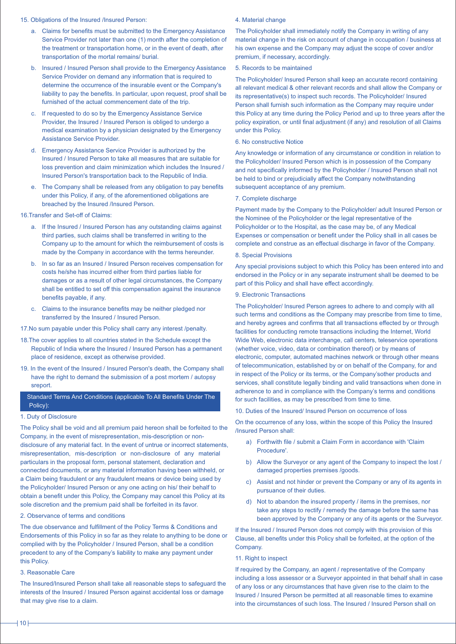#### 15. Obligations of the Insured /Insured Person:

- a. Claims for benefits must be submitted to the Emergency Assistance Service Provider not later than one (1) month after the completion of the treatment or transportation home, or in the event of death, after transportation of the mortal remains/ burial.
- b. Insured / Insured Person shall provide to the Emergency Assistance Service Provider on demand any information that is required to determine the occurrence of the insurable event or the Company's liability to pay the benefits. In particular, upon request, proof shall be furnished of the actual commencement date of the trip.
- c. If requested to do so by the Emergency Assistance Service Provider, the Insured / Insured Person is obliged to undergo a medical examination by a physician designated by the Emergency Assistance Service Provider.
- d. Emergency Assistance Service Provider is authorized by the Insured / Insured Person to take all measures that are suitable for loss prevention and claim minimization which includes the Insured / Insured Person's transportation back to the Republic of India.
- e. The Company shall be released from any obligation to pay benefits under this Policy, if any, of the aforementioned obligations are breached by the Insured /Insured Person.

# 16.Transfer and Set-off of Claims:

- a. If the Insured / Insured Person has any outstanding claims against third parties, such claims shall be transferred in writing to the Company up to the amount for which the reimbursement of costs is made by the Company in accordance with the terms hereunder.
- b. In so far as an Insured / Insured Person receives compensation for costs he/she has incurred either from third parties liable for damages or as a result of other legal circumstances, the Company shall be entitled to set off this compensation against the insurance benefits payable, if any.
- c. Claims to the insurance benefits may be neither pledged nor transferred by the Insured / Insured Person.

17.No sum payable under this Policy shall carry any interest /penalty.

- 18.The cover applies to all countries stated in the Schedule except the Republic of India where the Insured / Insured Person has a permanent place of residence, except as otherwise provided.
- 19. In the event of the Insured / Insured Person's death, the Company shall have the right to demand the submission of a post mortem / autopsy sreport.

# Standard Terms And Conditions (applicable To All Benefits Under The Policy):

# 1. Duty of Disclosure

The Policy shall be void and all premium paid hereon shall be forfeited to the Company, in the event of misrepresentation, mis-description or nondisclosure of any material fact. In the event of untrue or incorrect statements, misrepresentation, mis-description or non-disclosure of any material particulars in the proposal form, personal statement, declaration and connected documents, or any material information having been withheld, or a Claim being fraudulent or any fraudulent means or device being used by the Policyholder/ Insured Person or any one acting on his/ their behalf to obtain a benefit under this Policy, the Company may cancel this Policy at its sole discretion and the premium paid shall be forfeited in its favor.

# 2. Observance of terms and conditions

The due observance and fulfillment of the Policy Terms & Conditions and Endorsements of this Policy in so far as they relate to anything to be done or complied with by the Policyholder / Insured Person, shall be a condition precedent to any of the Company's liability to make any payment under this Policy.

# 3. Reasonable Care

The Insured/Insured Person shall take all reasonable steps to safeguard the interests of the Insured / Insured Person against accidental loss or damage that may give rise to a claim.

# 4. Material change

The Policyholder shall immediately notify the Company in writing of any material change in the risk on account of change in occupation / business at his own expense and the Company may adjust the scope of cover and/or premium, if necessary, accordingly.

# 5. Records to be maintained

The Policyholder/ Insured Person shall keep an accurate record containing all relevant medical & other relevant records and shall allow the Company or its representative(s) to inspect such records. The Policyholder/ Insured Person shall furnish such information as the Company may require under this Policy at any time during the Policy Period and up to three years after the policy expiration, or until final adjustment (if any) and resolution of all Claims under this Policy.

# 6. No constructive Notice

Any knowledge or information of any circumstance or condition in relation to the Policyholder/ Insured Person which is in possession of the Company and not specifically informed by the Policyholder / Insured Person shall not be held to bind or prejudicially affect the Company notwithstanding subsequent acceptance of any premium.

# 7. Complete discharge

Payment made by the Company to the Policyholder/ adult Insured Person or the Nominee of the Policyholder or the legal representative of the Policyholder or to the Hospital, as the case may be, of any Medical Expenses or compensation or benefit under the Policy shall in all cases be complete and construe as an effectual discharge in favor of the Company.

# 8. Special Provisions

Any special provisions subject to which this Policy has been entered into and endorsed in the Policy or in any separate instrument shall be deemed to be part of this Policy and shall have effect accordingly.

# 9. Electronic Transactions

The Policyholder/ Insured Person agrees to adhere to and comply with all such terms and conditions as the Company may prescribe from time to time, and hereby agrees and confirms that all transactions effected by or through facilities for conducting remote transactions including the Internet, World Wide Web, electronic data interchange, call centers, teleservice operations (whether voice, video, data or combination thereof) or by means of electronic, computer, automated machines network or through other means of telecommunication, established by or on behalf of the Company, for and in respect of the Policy or its terms, or the Company'sother products and services, shall constitute legally binding and valid transactions when done in adherence to and in compliance with the Company's terms and conditions for such facilities, as may be prescribed from time to time.

10. Duties of the Insured/ Insured Person on occurrence of loss

On the occurrence of any loss, within the scope of this Policy the Insured /Insured Person shall:

- a) Forthwith file / submit a Claim Form in accordance with 'Claim Procedure'.
- b) Allow the Surveyor or any agent of the Company to inspect the lost / damaged properties premises /goods.
- c) Assist and not hinder or prevent the Company or any of its agents in pursuance of their duties.
- d) Not to abandon the insured property / items in the premises, nor take any steps to rectify / remedy the damage before the same has been approved by the Company or any of its agents or the Surveyor.

If the Insured / Insured Person does not comply with this provision of this Clause, all benefits under this Policy shall be forfeited, at the option of the Company.

# 11. Right to inspect

If required by the Company, an agent / representative of the Company including a loss assessor or a Surveyor appointed in that behalf shall in case of any loss or any circumstances that have given rise to the claim to the Insured / Insured Person be permitted at all reasonable times to examine into the circumstances of such loss. The Insured / Insured Person shall on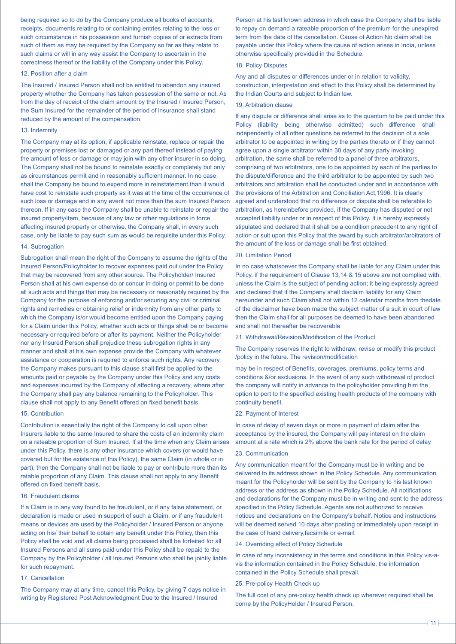being required so to do by the Company produce all books of accounts, receipts, documents relating to or containing entries relating to the loss or such circumstance in his possession and furnish copies of or extracts from such of them as may be required by the Company so far as they relate to such claims or will in any way assist the Company to ascertain in the correctness thereof or the liability of the Company under this Policy.

### 12. Position after a claim

The Insured / Insured Person shall not be entitled to abandon any insured property whether the Company has taken possession of the same or not. As from the day of receipt of the claim amount by the Insured / Insured Person, the Sum Insured for the remainder of the period of insurance shall stand reduced by the amount of the compensation.

### 13. Indemnity

The Company may at its option, if applicable reinstate, replace or repair the property or premises lost or damaged or any part thereof instead of paying the amount of loss or damage or may join with any other insurer in so doing. The Company shall not be bound to reinstate exactly or completely but only as circumstances permit and in reasonably sufficient manner. In no case shall the Company be bound to expend more in reinstatement than it would have cost to reinstate such property as it was at the time of the occurrence of such loss or damage and in any event not more than the sum Insured Person thereon. If in any case the Company shall be unable to reinstate or repair the insured property/item, because of any law or other regulations in force affecting insured property or otherwise, the Company shall, in every such case, only be liable to pay such sum as would be requisite under this Policy.

### 14. Subrogation

Subrogation shall mean the right of the Company to assume the rights of the Insured Person/Policyholder to recover expenses paid out under the Policy that may be recovered from any other source. The Policyholder/ Insured Person shall at his own expense do or concur in doing or permit to be done all such acts and things that may be necessary or reasonably required by the Company for the purpose of enforcing and/or securing any civil or criminal rights and remedies or obtaining relief or indemnity from any other party to which the Company is/or would become entitled upon the Company paying for a Claim under this Policy, whether such acts or things shall be or become necessary or required before or after its payment. Neither the Policyholder nor any Insured Person shall prejudice these subrogation rights in any manner and shall at his own expense provide the Company with whatever assistance or cooperation is required to enforce such rights. Any recovery the Company makes pursuant to this clause shall first be applied to the amounts paid or payable by the Company under this Policy and any costs and expenses incurred by the Company of affecting a recovery, where after the Company shall pay any balance remaining to the Policyholder. This clause shall not apply to any Benefit offered on fixed benefit basis.

#### 15. Contribution

Contribution is essentially the right of the Company to call upon other Insurers liable to the same Insured to share the costs of an indemnity claim on a rateable proportion of Sum Insured. If at the time when any Claim arises under this Policy, there is any other insurance which covers (or would have covered but for the existence of this Policy), the same Claim (in whole or in part), then the Company shall not be liable to pay or contribute more than its ratable proportion of any Claim. This clause shall not apply to any Benefit offered on fixed benefit basis.

# 16. Fraudulent claims

If a Claim is in any way found to be fraudulent, or if any false statement, or declaration is made or used in support of such a Claim, or if any fraudulent means or devices are used by the Policyholder / Insured Person or anyone acting on his/ their behalf to obtain any benefit under this Policy, then this Policy shall be void and all claims being processed shall be forfeited for all Insured Persons and all sums paid under this Policy shall be repaid to the Company by the Policyholder / all Insured Persons who shall be jointly liable for such repayment.

### 17. Cancellation

The Company may at any time, cancel this Policy, by giving 7 days notice in writing by Registered Post Acknowledgment Due to the Insured / Insured

Person at his last known address in which case the Company shall be liable to repay on demand a rateable proportion of the premium for the unexpired term from the date of the cancellation. Cause of Action No claim shall be payable under this Policy where the cause of action arises in India, unless otherwise specifically provided in the Schedule.

# 18. Policy Disputes

Any and all disputes or differences under or in relation to validity, construction, interpretation and effect to this Policy shall be determined by the Indian Courts and subject to Indian law.

#### 19. Arbitration clause

If any dispute or difference shall arise as to the quantum to be paid under this Policy (liability being otherwise admitted) such difference shall independently of all other questions be referred to the decision of a sole arbitrator to be appointed in writing by the parties thereto or if they cannot agree upon a single arbitrator within 30 days of any party invoking arbitration, the same shall be referred to a panel of three arbitrators, comprising of two arbitrators, one to be appointed by each of the parties to the dispute/difference and the third arbitrator to be appointed by such two arbitrators and arbitration shall be conducted under and in accordance with the provisions of the Arbitration and Conciliation Act,1996. It is clearly agreed and understood that no difference or dispute shall be referable to arbitration, as hereinbefore provided, if the Company has disputed or not accepted liability under or in respect of this Policy. It is hereby expressly stipulated and declared that it shall be a condition precedent to any right of action or suit upon this Policy that the award by such arbitrator/arbitrators of the amount of the loss or damage shall be first obtained.

### 20. Limitation Period

In no case whatsoever the Company shall be liable for any Claim under this Policy, if the requirement of Clause 13,14 & 15 above are not complied with, unless the Claim is the subject of pending action; it being expressly agreed and declared that if the Company shall disclaim liability for any Claim hereunder and such Claim shall not within 12 calendar months from thedate of the disclaimer have been made the subject matter of a suit in court of law then the Claim shall for all purposes be deemed to have been abandoned and shall not thereafter be recoverable

#### 21. Withdrawal/Revision/Modification of the Product

The Company reserves the right to withdraw, revise or modify this product /policy in the future. The revision/modification

may be in respect of Benefits, coverages, premiums, policy terms and conditions &/or exclusions. In the event of any such withdrawal of product the company will notify in advance to the policyholder providing him the option to port to the specified existing health products of the company with continuity benefit.

#### 22. Payment of Interest

In case of delay of seven days or more in payment of claim after the acceptance by the insured, the Company will pay interest on the claim amount at a rate which is 2% above the bank rate for the period of delay

## 23. Communication

Any communication meant for the Company must be in writing and be delivered to its address shown in the Policy Schedule. Any communication meant for the Policyholder will be sent by the Company to his last known address or the address as shown in the Policy Schedule. All notifications and declarations for the Company must be in writing and sent to the address specified in the Policy Schedule. Agents are not authorized to receive notices and declarations on the Company's behalf. Notice and instructions will be deemed served 10 days after posting or immediately upon receipt in the case of hand delivery,facsimile or e-mail.

### 24. Overriding effect of Policy Schedule

In case of any inconsistency in the terms and conditions in this Policy vis-avis the information contained in the Policy Schedule, the information contained in the Policy Schedule shall prevail.

### 25. Pre-policy Health Check up

The full cost of any pre-policy health check up wherever required shall be borne by the PolicyHolder / Insured Person.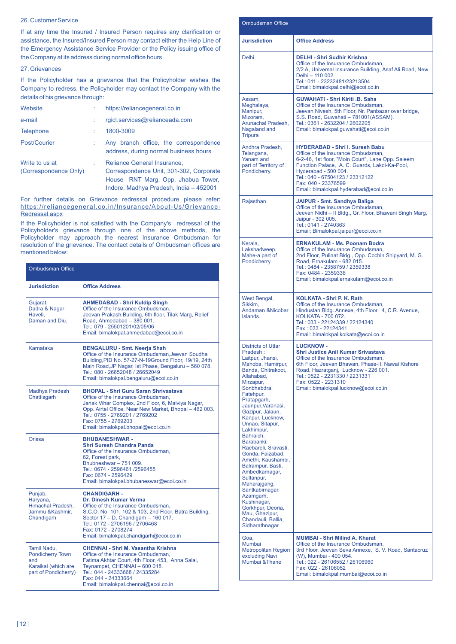# 26. Customer Service

If at any time the Insured / Insured Person requires any clarification or assistance, the Insured/Insured Person may contact either the Help Line of the Emergency Assistance Service Provider or the Policy issuing office of the Company at its address during normal office hours.

### 27. Grievances

If the Policyholder has a grievance that the Policyholder wishes the Company to redress, the Policyholder may contact the Company with the details of his grievance through:

| Website                                 | https://reliancegeneral.co.in                                                                                                                          |
|-----------------------------------------|--------------------------------------------------------------------------------------------------------------------------------------------------------|
| e-mail                                  | rgicl.services@relianceada.com                                                                                                                         |
| <b>Telephone</b>                        | 1800-3009                                                                                                                                              |
| Post/Courier                            | Any branch office, the correspondence<br>address, during normal business hours                                                                         |
| Write to us at<br>(Correspondence Only) | Reliance General Insurance,<br>Correspondence Unit, 301-302, Corporate<br>House RNT Marg, Opp. Jhabua Tower,<br>Indore, Madhya Pradesh, India - 452001 |

For further details on Grievance redressal procedure please refer: https://reliancegeneral.co.in/Insurance/About-Us/Grievance-Redressal.aspx

If the Policyholder is not satisfied with the Company's redressal of the Policyholder's grievance through one of the above methods, the Policyholder may approach the nearest Insurance Ombudsman for resolution of the grievance. The contact details of Ombudsman offices are mentioned below:

| <b>Ombudsman Office</b>                                                                      |                                                                                                                                                                                                                                                                                                  |
|----------------------------------------------------------------------------------------------|--------------------------------------------------------------------------------------------------------------------------------------------------------------------------------------------------------------------------------------------------------------------------------------------------|
| <b>Jurisdiction</b>                                                                          | <b>Office Address</b>                                                                                                                                                                                                                                                                            |
| Gujarat,<br>Dadra & Nagar<br>Haveli.<br>Daman and Diu.                                       | <b>AHMEDABAD - Shri Kuldip Singh</b><br>Office of the Insurance Ombudsman,<br>Jeevan Prakash Building, 6th floor, Tilak Marg, Relief<br>Road. Ahmedabad - 380 001.<br>Tel.: 079 - 25501201/02/05/06<br>Email: bimalokpal.ahmedabad@ecoi.co.in                                                    |
| Karnataka                                                                                    | <b>BENGALURU - Smt. Neerja Shah</b><br>Office of the Insurance Ombudsman, Jeevan Soudha<br>Building, PID No. 57-27-N-19Ground Floor, 19/19, 24th<br>Main Road, JP Nagar, 1st Phase, Bengaluru - 560 078.<br>Tel.: 080 - 26652048 / 26652049<br>Email: bimalokpal.bengaluru@ecoi.co.in            |
| Madhya Pradesh<br>Chattisgarh                                                                | <b>BHOPAL - Shri Guru Saran Shrivastava</b><br>Office of the Insurance Ombudsman.<br>Janak Vihar Complex, 2nd Floor, 6, Malviya Nagar,<br>Opp. Airtel Office, Near New Market, Bhopal - 462 003.<br>Tel.: 0755 - 2769201 / 2769202<br>Fax: 0755 - 2769203<br>Email: bimalokpal.bhopal@ecoi.co.in |
| Orissa                                                                                       | <b>BHUBANESHWAR-</b><br><b>Shri Suresh Chandra Panda</b><br>Office of the Insurance Ombudsman.<br>62, Forest park,<br>Bhubneshwar - 751 009.<br>Tel.: 0674 - 2596461 /2596455<br>Fax: 0674 - 2596429<br>Email: bimalokpal.bhubaneswar@ecoi.co.in                                                 |
| Punjab,<br>Haryana,<br>Himachal Pradesh,<br>Jammu & Kashmir.<br>Chandigarh                   | <b>CHANDIGARH -</b><br>Dr. Dinesh Kumar Verma<br>Office of the Insurance Ombudsman,<br>S.C.O. No. 101, 102 & 103, 2nd Floor, Batra Building,<br>Sector 17 - D, Chandigarh - 160 017.<br>Tel.: 0172 - 2706196 / 2706468<br>Fax: 0172 - 2708274<br>Email: bimalokpal.chandigarh@ecoi.co.in         |
| Tamil Nadu.<br><b>Pondicherry Town</b><br>and<br>Karaikal (which are<br>part of Pondicherry) | <b>CHENNAI - Shri M. Vasantha Krishna</b><br>Office of the Insurance Ombudsman,<br>Fatima Akhtar Court, 4th Floor, 453, Anna Salai,<br>Teynampet, CHENNAI - 600 018.<br>Tel.: 044 - 24333668 / 24335284<br>Fax: 044 - 24333664<br>Email: bimalokpal.chennai@ecoi.co.in                           |

| <b>Ombudsman Office</b>                                                                                                                                                                                                                                                                                                                                                                                                                                                                                                                                                    |                                                                                                                                                                                                                                                                                                                |  |  |
|----------------------------------------------------------------------------------------------------------------------------------------------------------------------------------------------------------------------------------------------------------------------------------------------------------------------------------------------------------------------------------------------------------------------------------------------------------------------------------------------------------------------------------------------------------------------------|----------------------------------------------------------------------------------------------------------------------------------------------------------------------------------------------------------------------------------------------------------------------------------------------------------------|--|--|
| <b>Jurisdiction</b>                                                                                                                                                                                                                                                                                                                                                                                                                                                                                                                                                        | <b>Office Address</b>                                                                                                                                                                                                                                                                                          |  |  |
| Delhi                                                                                                                                                                                                                                                                                                                                                                                                                                                                                                                                                                      | <b>DELHI - Shri Sudhir Krishna</b><br>Office of the Insurance Ombudsman,<br>2/2 A, Universal Insurance Building, Asaf Ali Road, New<br>Delhi - 110 002.<br>Tel.: 011 - 23232481/23213504<br>Email: bimalokpal.delhi@ecoi.co.in                                                                                 |  |  |
| Assam,<br>Meghalaya,<br>Manipur,<br>Mizoram,<br>Arunachal Pradesh,<br>Nagaland and<br>Tripura                                                                                                                                                                                                                                                                                                                                                                                                                                                                              | GUWAHATI - Shri Kiriti .B. Saha<br>Office of the Insurance Ombudsman,<br>Jeevan Nivesh, 5th Floor, Nr. Panbazar over bridge,<br>S.S. Road, Guwahati - 781001(ASSAM).<br>Tel.: 0361 - 2632204 / 2602205<br>Email: bimalokpal.guwahati@ecoi.co.in                                                                |  |  |
| Andhra Pradesh,<br>Telangana,<br>Yanam and<br>part of Territory of<br>Pondicherry.                                                                                                                                                                                                                                                                                                                                                                                                                                                                                         | <b>HYDERABAD - Shri I. Suresh Babu</b><br>Office of the Insurance Ombudsman,<br>6-2-46, 1st floor, "Moin Court", Lane Opp. Saleem<br>Function Palace, A. C. Guards, Lakdi-Ka-Pool,<br>Hyderabad - 500 004.<br>Tel.: 040 - 67504123 / 23312122<br>Fax: 040 - 23376599<br>Email: bimalokpal.hyderabad@ecoi.co.in |  |  |
| Rajasthan                                                                                                                                                                                                                                                                                                                                                                                                                                                                                                                                                                  | JAIPUR - Smt. Sandhya Baliga<br>Office of the Insurance Ombudsman,<br>Jeevan Nidhi - II Bldg., Gr. Floor, Bhawani Singh Marg,<br>Jaipur - 302 005.<br>Tel.: 0141 - 2740363<br>Email: Bimalokpal.jaipur@ecoi.co.in                                                                                              |  |  |
| Kerala,<br>Lakshadweep,<br>Mahe-a part of<br>Pondicherry.                                                                                                                                                                                                                                                                                                                                                                                                                                                                                                                  | <b>ERNAKULAM - Ms. Poonam Bodra</b><br>Office of the Insurance Ombudsman,<br>2nd Floor, Pulinat Bldg., Opp. Cochin Shipyard, M. G.<br>Road, Ernakulam - 682 015.<br>Tel.: 0484 - 2358759 / 2359338<br>Fax: 0484 - 2359336<br>Email: bimalokpal.ernakulam@ecoi.co.in                                            |  |  |
| West Bengal,<br>Sikkim,<br>Andaman & Nicobar<br>Islands.                                                                                                                                                                                                                                                                                                                                                                                                                                                                                                                   | <b>KOLKATA - Shri P. K. Rath</b><br>Office of the Insurance Ombudsman,<br>Hindustan Bldg. Annexe, 4th Floor, 4, C.R. Avenue,<br>KOLKATA - 700 072.<br>Tel.: 033 - 22124339 / 22124340<br>Fax: 033 - 22124341<br>Email: bimalokpal.kolkata@ecoi.co.in                                                           |  |  |
| <b>Districts of Uttar</b><br>Pradesh:<br>Laitpur, Jhansi,<br>Mahoba, Hamirpur,<br>Banda, Chitrakoot,<br>Allahabad,<br>Mirzapur,<br>Sonbhabdra,<br>Fatehpur,<br>Pratapgarh,<br>Jaunpur, Varanasi,<br>Gazipur, Jalaun,<br>Kanpur, Lucknow,<br>Unnao, Sitapur,<br>Lakhimpur,<br>Bahraich,<br>Barabanki.<br>Raebareli, Sravasti,<br>Gonda, Faizabad,<br>Amethi, Kaushambi,<br>Balrampur, Basti,<br>Ambedkarnagar,<br>Sultanpur,<br>Maharajgang,<br>Santkabirnagar,<br>Azamgarh,<br>Kushinagar,<br>Gorkhpur, Deoria,<br>Mau, Ghazipur,<br>Chandauli, Ballia,<br>Sidharathnagar. | <b>LUCKNOW -</b><br><b>Shri Justice Anil Kumar Srivastava</b><br>Office of the Insurance Ombudsman,<br>6th Floor, Jeevan Bhawan, Phase-II, Nawal Kishore<br>Road, Hazratganj, Lucknow - 226 001.<br>Tel.: 0522 - 2231330 / 2231331<br>Fax: 0522 - 2231310<br>Email: bimalokpal.lucknow@ecoi.co.in              |  |  |
| Goa,<br>Mumbai<br><b>Metropolitan Region</b><br>excluding Navi<br>Mumbai & Thane                                                                                                                                                                                                                                                                                                                                                                                                                                                                                           | <b>MUMBAI - Shri Milind A. Kharat</b><br>Office of the Insurance Ombudsman,<br>3rd Floor, Jeevan Seva Annexe, S. V. Road, Santacruz<br>(W), Mumbai - 400 054.<br>Tel.: 022 - 26106552 / 26106960<br>Fax: 022 - 26106052<br>Email: bimalokpal.mumbai@ecoi.co.in                                                 |  |  |